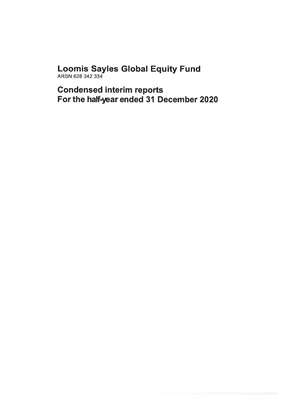# Loomis Sayles Global Equity Fund<br>ARSN 628 342 334

**Condensed interim reports** For the half-year ended 31 December 2020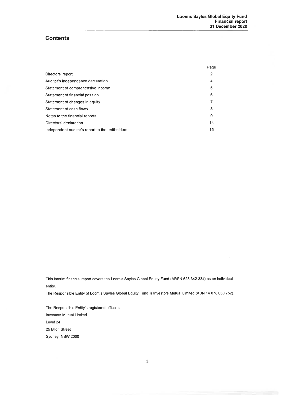## **Contents**

|                                                 | Page |
|-------------------------------------------------|------|
| Directors' report                               | 2    |
| Auditor's independence declaration              | 4    |
| Statement of comprehensive income               | 5    |
| Statement of financial position                 | 6    |
| Statement of changes in equity                  | 7    |
| Statement of cash flows                         | 8    |
| Notes to the financial reports                  | 9    |
| Directors' declaration                          | 14   |
| Independent auditor's report to the unitholders | 15   |

This interim financial report covers the Loomis Sayles Global Equity Fund (ARSN 628 342 334) as an individual entity.

The Responsible Entity of Loomis Sayles Global Equity Fund is Investors Mutual Limited (ABN 14 078 030 752).

The Responsible Entity's registered office is: **Investors Mutual Limited** Level 24 25 Bligh Street Sydney, NSW 2000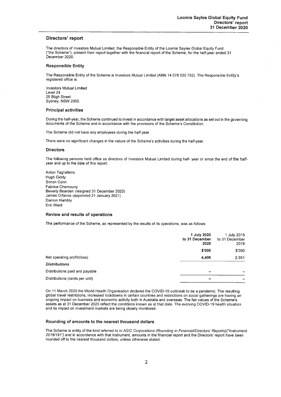#### Directors' report

The directors of Investors Mutual Limited, the Responsible Entity of the Loomis Sayles Global Equity Fund ("the Scheme"), present their report together with the financial report of the Scheme, for the half-year ended 31 December 2020

#### **Responsible Entity**

The Responsible Entity of the Scheme is Investors Mutual Limited (ABN 14 078 030 752). The Responsible Entity's registered office is:

**Investors Mutual Limited** Level 24 25 Bligh Street Sydney, NSW 2000

#### **Principal activities**

During the half-year, the Scheme continued to invest in accordance with target asset allocations as set out in the governing documents of the Scheme and in accordance with the provisions of the Scheme's Constitution.

The Scheme did not have any employees during the half-year.

There were no significant changes in the nature of the Scheme's activities during the half-year.

#### **Directors**

The following persons held office as directors of Investors Mutual Limited during half- year or since the end of the halfyear and up to the date of this report:

Anton Tagliaferro **Hugh Giddy** Simon Conn **Fabrice Chemouny** Beverly Bearden (resigned 31 December 2020) James Orfanos (appointed 21 January 2021) Damon Hambly Eric Ward

#### Review and results of operations

The performance of the Scheme, as represented by the results of its operations, was as follows:

|                                | 1 July 2020<br>to 31 December<br>2020 | 1 July 2019<br>to 31 December<br>2019 |
|--------------------------------|---------------------------------------|---------------------------------------|
|                                | \$'000                                | \$'000                                |
| Net operating profit/(loss)    | 4,406                                 | 2,951                                 |
| <b>Distributions</b>           |                                       |                                       |
| Distributions paid and payable | -                                     |                                       |
| Distributions (cents per unit) |                                       |                                       |

On 11 March 2020 the World Health Organisation declared the COVID-19 outbreak to be a pandemic. The resulting global travel restrictions, increased lockdowns in certain countries and restrictions on social gatherings are having an ongoing impact on business and economic activity both in Australia and overseas. The fair values of the Scheme's assets as at 31 December 2020 reflect the conditions known as at that date. The evolving COVID-19 health situation and its impact on investment markets are being closely monitored.

#### Rounding of amounts to the nearest thousand dollars

The Scheme is entity of the kind referred to in ASIC Corporations (Rounding in Financial/Directors' Reports)("Instrument 2016/191") and in accordance with that instrument, amounts in the financial report and the Directors' report have been rounded off to the nearest thousand dollars, unless otherwise stated.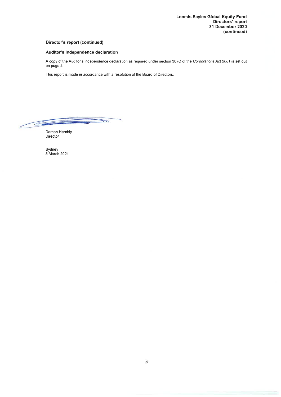#### Director's report (continued)

#### Auditor's independence declaration

A copy of the Auditor's independence declaration as required under section 307C of the Corporations Act 2001 is set out on page 4.

This report is made in accordance with a resolution of the Board of Directors.

 $\overline{\mathbb{R}}$  $\epsilon$ 

Damon Hambly Director

Sydney<br>5 March 2021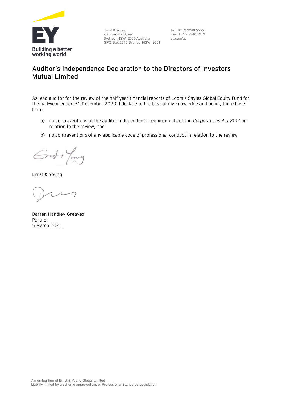

Ernst & Young 200 George Street Sydney NSW 2000 Australia GPO Box 2646 Sydney NSW 2001 Tel: +61 2 9248 5555 Fax: +61 2 9248 5959 ey.com/au

# **Auditor's Independence Declaration to the Directors of Investors Mutual Limited**

As lead auditor for the review of the half-year financial reports of Loomis Sayles Global Equity Fund for the half-year ended 31 December 2020, I declare to the best of my knowledge and belief, there have been:

- a) no contraventions of the auditor independence requirements of the *Corporations Act 2001* in relation to the review*;* and
- b) no contraventions of any applicable code of professional conduct in relation to the review.

Grst + Young

Ernst & Young

Darren Handley-Greaves Partner 5 March 2021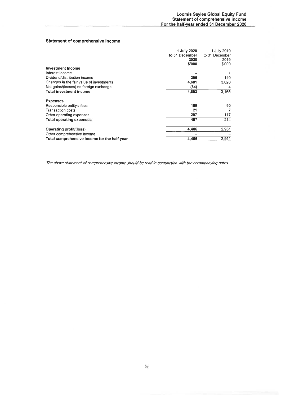#### Statement of comprehensive income

|                                              | 1 July 2020    | 1 July 2019    |
|----------------------------------------------|----------------|----------------|
|                                              | to 31 December | to 31 December |
|                                              | 2020           | 2019           |
|                                              | \$'000         | \$'000         |
| <b>Investment Income</b>                     |                |                |
| Interest income                              |                |                |
| Dividend/distribution income                 | 296            | 140            |
| Changes in the fair value of investments     | 4,681          | 3,020          |
| Net gains/(losses) on foreign exchange       | (84)           | 4              |
| <b>Total investment income</b>               | 4,893          | 3,165          |
| <b>Expenses</b>                              |                |                |
| Responsible entity's fees                    | 169            | 90             |
| <b>Transaction costs</b>                     | 21             |                |
| Other operating expenses                     | 297            | 117            |
| Total operating expenses                     | 487            | 214            |
| Operating profit/(loss)                      | 4.406          | 2,951          |
| Other comprehensive income                   |                |                |
| Total comprehensive income for the half-year | 4,406          | 2,951          |

The above statement of comprehensive income should be read in conjunction with the accompanying notes.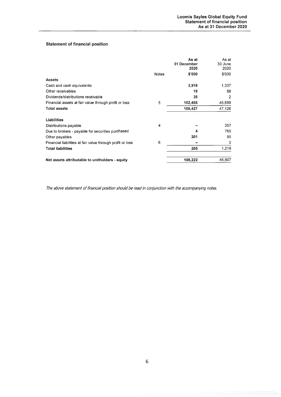## **Statement of financial position**

|                                                            |              | As at<br>31 December<br>2020 | As at<br>30 June<br>2020 |
|------------------------------------------------------------|--------------|------------------------------|--------------------------|
|                                                            | <b>Notes</b> | \$'000                       | \$'000                   |
| <b>Assets</b>                                              |              |                              |                          |
| Cash and cash equivalents                                  |              | 3,918                        | 1,337                    |
| Other receivables                                          |              | 19                           | 88                       |
| Dividends/distributions receivable                         |              | 25                           | 2                        |
| Financial assets at fair value through profit or loss      | 5            | 102,465                      | 45,699                   |
| <b>Total assets</b>                                        |              | 106,427                      | 47,126                   |
|                                                            |              |                              |                          |
| Liabilities                                                |              |                              |                          |
| Distributions payable                                      | 4            |                              | 357                      |
| Due to brokers - payable for securities purchased          |              | 4                            | 765                      |
| Other payables                                             |              | 201                          | 95                       |
| Financial liabilities at fair value through profit or loss | 6            |                              | 2                        |
| <b>Total liabilities</b>                                   |              | 205                          | 1,219                    |
| Net assets attributable to unitholders - equity            |              | 106,222                      | 45,907                   |

The above statement of financial position should be read in conjunction with the accompanying notes.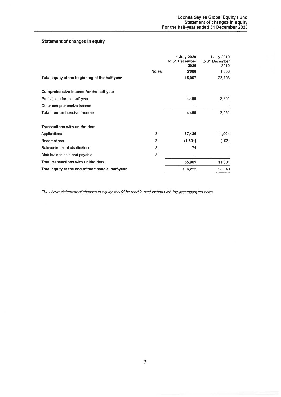## Statement of changes in equity

|   | 1 July 2020<br>to 31 December | 1 July 2019<br>to 31 December |
|---|-------------------------------|-------------------------------|
|   |                               | 2019                          |
|   |                               | \$'000<br>23,796              |
|   |                               |                               |
|   |                               |                               |
|   | 4,406                         | 2,951                         |
|   |                               |                               |
|   | 4,406                         | 2,951                         |
|   |                               |                               |
| 3 | 57,436                        | 11,904                        |
| 3 | (1,601)                       | (103)                         |
| 3 | 74                            |                               |
| 3 |                               |                               |
|   | 55,909                        | 11,801                        |
|   | 106,222                       | 38,548                        |
|   | <b>Notes</b>                  | 2020<br>\$'000<br>45,907      |

The above statement of changes in equity should be read in conjunction with the accompanying notes.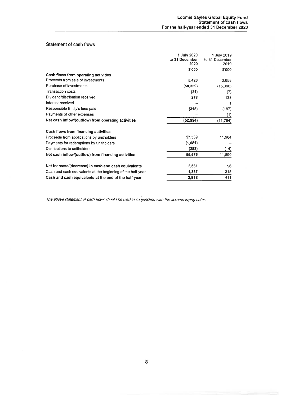#### **Statement of cash flows**

|                                                             | 1 July 2020    | 1 July 2019    |
|-------------------------------------------------------------|----------------|----------------|
|                                                             | to 31 December | to 31 December |
|                                                             | 2020           | 2019           |
|                                                             | \$'000         | \$'000         |
| Cash flows from operating activities                        |                |                |
| Proceeds from sale of investments                           | 5,423          | 3,658          |
| Purchase of investments                                     | (58, 359)      | (15, 396)      |
| <b>Transaction costs</b>                                    | (21)           | (7)            |
| Dividend/distribution received                              | 278            | 138            |
| Interest received                                           |                | 1              |
| Responsible Entity's fees paid                              | (315)          | (187)          |
| Payments of other expenses                                  |                | (1)            |
| Net cash inflow/(outflow) from operating activities         | (52, 994)      | (11, 794)      |
| Cash flows from financing activities                        |                |                |
| Proceeds from applications by unitholders                   | 57,539         | 11,904         |
| Payments for redemptions by unitholders                     | (1,681)        |                |
| Distributions to unitholders                                | (283)          | (14)           |
| Net cash inflow/(outflow) from financing activities         | 55,575         | 11,890         |
| Net increase/(decrease) in cash and cash equivalents        | 2,581          | 96             |
| Cash and cash equivalents at the beginning of the half-year | 1,337          | 315            |
| Cash and cash equivalents at the end of the half-year       | 3,918          | 411            |
|                                                             |                |                |

The above statement of cash flows should be read in conjunction with the accompanying notes.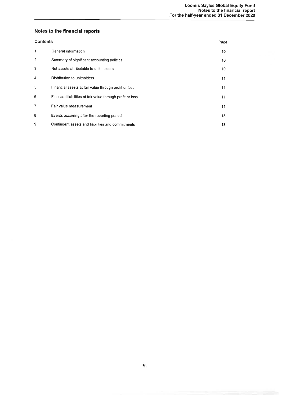# Notes to the financial reports

| <b>Contents</b> |                                                            | Page            |
|-----------------|------------------------------------------------------------|-----------------|
| 1               | General information                                        | 10 <sup>°</sup> |
| $\overline{2}$  | Summary of significant accounting policies                 | 10              |
| 3               | Net assets attributable to unit holders                    | 10              |
| 4               | Distribution to unitholders                                | 11              |
| 5               | Financial assets at fair value through profit or loss      | 11              |
| 6               | Financial liabilities at fair value through profit or loss | 11              |
| 7               | Fair value measurement                                     | 11              |
| 8               | Events occurring after the reporting period                | 13              |
| 9               | Contingent assets and liabilities and commitments          | 13              |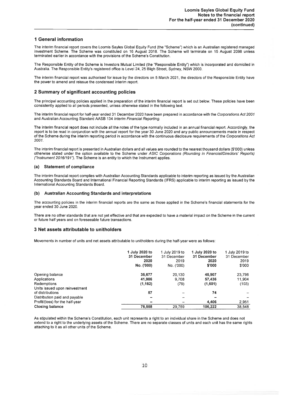#### **1 General information**

The interim financial report covers the Loomis Sayles Global Equity Fund (the "Scheme") which is an Australian registered managed investment Scheme. The Scheme was constituted on 16 August 2018. The Scheme will terminate on 15 August 2098 unless terminated earlier in accordance with the provisions of the Scheme's Constitution.

The Responsible Entity of the Scheme is Investors Mutual Limited (the "Responsible Entity") which is incorporated and domiciled in Australia. The Responsible Entity's registered office is Level 24, 25 Bligh Street, Sydney, NSW 2000.

The interim financial report was authorised for issue by the directors on 5 March 2021, the directors of the Responsible Entity have the power to amend and reissue the condensed interim report.

#### 2 Summary of significant accounting policies

The principal accounting policies applied in the preparation of the interim financial report is set out below. These policies have been consistently applied to all periods presented, unless otherwise stated in the following text.

The interim financial report for half-year ended 31 December 2020 have been prepared in accordance with the Corporations Act 2001 and Australian Accounting Standard AASB 134 Interim Financial Reporting.

The interim financial report does not include all the notes of the type normally included in an annual financial report. Accordingly, the report is to be read in conjunction with the annual report for the year 30 June 2020 and any public announcements made in respect of the Scheme during the interim reporting period in accordance with the continuous disclosure requirements of the Corporations Act 2001

The interim financial report is presented in Australian dollars and all values are rounded to the nearest thousand dollars (\$'000) unless otherwise stated under the option available to the Scheme under ASIC Corporations (Rounding in Financial/Directors' Reports) ("Instrument 2016/191"). The Scheme is an entity to which the Instrument applies.

#### (a) Statement of compliance

The interim financial report complies with Australian Accounting Standards applicable to interim reporting as issued by the Australian Accounting Standards Board and International Financial Reporting Standards (IFRS) applicable to interim reporting as issued by the International Accounting Standards Board.

#### (b) Australian Accounting Standards and interpretations

The accounting policies in the interim financial reports are the same as those applied in the Scheme's financial statements for the year ended 30 June 2020.

There are no other standards that are not yet effective and that are expected to have a material impact on the Scheme in the current or future half years and on foreseeable future transactions.

#### 3 Net assets attributable to unitholders

Movements in number of units and net assets attributable to unitholders during the half-year were as follows:

|                                 | 1 July 2020 to<br>31 December<br>2020<br>No. ('000) | 1 July 2019 to<br>31 December<br>2019<br>No. ('000) | 1 July 2020 to<br>31 December<br>2020<br>\$'000 | 1 July 2019 to<br>31 December<br>2019<br>\$'000 |
|---------------------------------|-----------------------------------------------------|-----------------------------------------------------|-------------------------------------------------|-------------------------------------------------|
| Opening balance                 | 35,677                                              | 20.130                                              | 45,907                                          | 23,796                                          |
| Applications                    | 41,986                                              | 9.708                                               | 57,436                                          | 11,904                                          |
| Redemptions                     | (1, 162)                                            | (79)                                                | (1,601)                                         | (103)                                           |
| Units issued upon reinvestment  |                                                     |                                                     |                                                 |                                                 |
| of distributions                | 57                                                  |                                                     | 74                                              |                                                 |
| Distribution paid and payable   | $\equiv$                                            | $\overline{\phantom{a}}$                            |                                                 |                                                 |
| Profit/(loss) for the half-year | $\blacksquare$                                      | --                                                  | 4,406                                           | 2,951                                           |
| <b>Closing balance</b>          | 76,558                                              | 29,759                                              | 106.222                                         | 38,548                                          |

As stipulated within the Scheme's Constitution, each unit represents a right to an individual share in the Scheme and does not extend to a right to the underlying assets of the Scheme. There are no separate classes of units and each unit has the same rights attaching to it as all other units of the Scheme.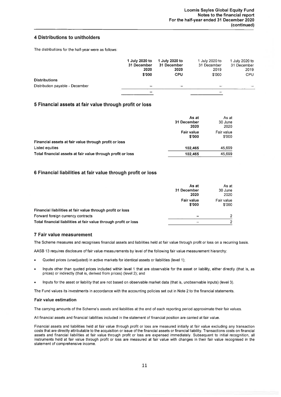#### 4 Distributions to unitholders

The distributions for the half-year were as follows:

|                                 | 1 July 2020 to<br>31 December<br>2020<br>\$'000 | 1 July 2020 to<br>31 December<br>2020<br><b>CPU</b> | 1 July 2020 to<br>31 December<br>2019<br>\$'000 | 1 July 2020 to<br>31 December<br>2019<br><b>CPU</b> |
|---------------------------------|-------------------------------------------------|-----------------------------------------------------|-------------------------------------------------|-----------------------------------------------------|
| <b>Distributions</b>            |                                                 |                                                     |                                                 |                                                     |
| Distribution payable - December |                                                 |                                                     |                                                 | $\sim$                                              |
|                                 | ________                                        |                                                     |                                                 |                                                     |

#### 5 Financial assets at fair value through profit or loss

|                                                             | As at<br>31 December<br>2020 | As at<br>30 June<br>2020 |
|-------------------------------------------------------------|------------------------------|--------------------------|
|                                                             | <b>Fair value</b><br>\$'000  | Fair value<br>\$'000     |
| Financial assets at fair value through profit or loss       |                              |                          |
| <b>Listed equities</b>                                      | 102,465                      | 45,699                   |
| Total financial assets at fair value through profit or loss | 102.465                      | 45,699                   |

#### 6 Financial liabilities at fair value through profit or loss

|                                                                  | As at<br>31 December<br>2020 | As at<br>30 June<br>2020 |
|------------------------------------------------------------------|------------------------------|--------------------------|
|                                                                  | <b>Fair value</b><br>\$'000  | Fair value<br>\$'000     |
| Financial liabilities at fair value through profit or loss       |                              |                          |
| Forward foreign currency contracts                               |                              | 2                        |
| Total financial liabilities at fair value through profit or loss |                              |                          |

#### 7 Fair value measurement

The Scheme measures and recognises financial assets and liabilities held at fair value through profit or loss on a recurring basis.

AASB 13 requires disclosure of fair value measurements by level of the following fair value measurement hierarchy:

- Quoted prices (unadjusted) in active markets for identical assets or liabilities (level 1):
- Inputs other than quoted prices included within level 1 that are observable for the asset or liability, either directly (that is, as prices) or indirectly (that is, derived from prices) (level 2); and
- Inputs for the asset or liability that are not based on observable market data (that is, unobservable inputs) (level 3).

The Fund values its investments in accordance with the accounting policies set out in Note 2 to the financial statements.

#### **Fair value estimation**

The carrying amounts of the Scheme's assets and liabilities at the end of each reporting period approximate their fair values.

All financial assets and financial liabilities included in the statement of financial position are carried at fair value.

Financial assets and liabilities held at fair value through profit or loss are measured initially at fair value excluding any transaction costs that are directly attributable to the acquisition or issue of the financial assets or financial liability. Transactions costs on financial assets and financial liabilities at fair value through profit or loss are expensed immediately. Subsequent to initial recognition, all instruments held at fair value through profit or loss are measured at fair value with changes in their fair value recognised in the statement of comprehensive income.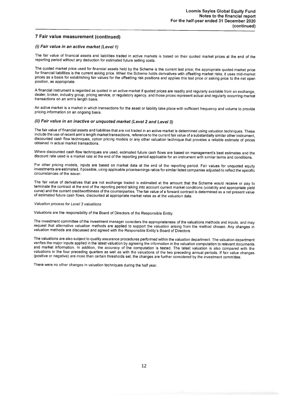#### 7 Fair value measurement (continued)

#### (i) Fair value in an active market (Level 1)

The fair value of financial assets and liabilities traded in active markets is based on their quoted market prices at the end of the reporting period without any deduction for estimated future selling costs.

The quoted market price used for financial assets held by the Scheme is the current last price; the appropriate quoted market price for financial liabilities is the current asking price. When the Scheme holds derivatives with offsetting market risks, it uses mid-market prices as a basis for establishing fair values for the offsetting risk positions and applies this last price or asking price to the net open position, as appropriate.

A financial instrument is regarded as quoted in an active market if quoted prices are readily and regularly available from an exchange, dealer, broker, industry group, pricing service, or regulatory agency, and those prices represent actual and regularly occurring market transactions on an arm's length basis.

An active market is a market in which transactions for the asset or liability take place with sufficient frequency and volume to provide pricing information on an ongoing basis.

#### (ii) Fair value in an inactive or unquoted market (Level 2 and Level 3)

The fair value of financial assets and liabilities that are not traded in an active market is determined using valuation techniques. These include the use of recent arm's length market transactions, reference to the current fair value of a substantially similar other instrument. discounted cash flow techniques, option pricing models or any other valuation technique that provides a reliable estimate of prices obtained in actual market transactions.

Where discounted cash flow techniques are used, estimated future cash flows are based on management's best estimates and the discount rate used is a market rate at the end of the reporting period applicable for an instrument with similar terms and conditions.

For other pricing models, inputs are based on market data at the end of the reporting period. Fair values for unquoted equity investments are estimated, if possible, using applicable price/earnings ratios for similar listed companies adjusted to reflect the specific circumstances of the issuer.

The fair value of derivatives that are not exchange traded is estimated at the amount that the Scheme would receive or pay to terminate the contract at the end of the reporting period taking into account current market conditions (volatility and appropriate yield curve) and the current creditworthiness of the counterparties. The fair value of a forward contract is determined as a net present value of estimated future cash flows, discounted at appropriate market rates as at the valuation date.

#### Valuation process for Level 3 valuations

Valuations are the responsibility of the Board of Directors of the Responsible Entity.

The investment committee of the investment manager considers the appropriateness of the valuations methods and inputs, and may request that alternative valuation methods are applied to support the valuation arising from the method chosen. Any changes in valuation methods are discussed and agreed with the Responsible Entity's Board of Directors.

The valuations are also subject to quality assurance procedures performed within the valuation department. The valuation department verifies the major inputs applied in the latest valuation by agreeing the information in the valuation computation to relevant documents and market information. In addition, the accuracy of the computation is tested. The latest valuation is also compared with the valuations in the four preceding quarters as well as with the valuations of the two preceding annual periods. If fair value changes (positive or negative) are more than certain thresholds set, the changes are further considered by the investment committee.

There were no other changes in valuation techniques during the half year.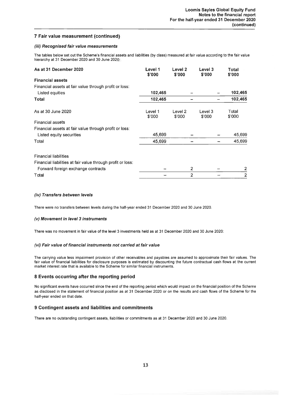#### 7 Fair value measurement (continued)

#### (iii) Recognised fair value measurements

The tables below set out the Scheme's financial assets and liabilities (by class) measured at fair value according to the fair value hierarchy at 31 December 2020 and 30 June 2020:

| As at 31 December 2020                                      | Level 1<br>\$'000 | Level 2<br>\$'000            | Level 3<br>\$'000 | Total<br>\$'000 |
|-------------------------------------------------------------|-------------------|------------------------------|-------------------|-----------------|
| <b>Financial assets</b>                                     |                   |                              |                   |                 |
| Financial assets at fair value through profit or loss:      |                   |                              |                   |                 |
| Listed equities                                             | 102,465           |                              |                   | 102,465         |
| Total                                                       | 102,465           |                              |                   | 102,465         |
| As at 30 June 2020                                          | Level 1<br>\$'000 | Level <sub>2</sub><br>\$'000 | Level 3<br>\$'000 | Total<br>\$'000 |
| <b>Financial assets</b>                                     |                   |                              |                   |                 |
| Financial assets at fair value through profit or loss:      |                   |                              |                   |                 |
| Listed equity securities                                    | 45,699            |                              |                   | 45,699          |
| Total                                                       | 45,699            |                              |                   | 45,699          |
| <b>Financial liabilities</b>                                |                   |                              |                   |                 |
| Financial liabilities at fair value through profit or loss: |                   |                              |                   |                 |
| Forward foreign exchange contracts                          |                   |                              | $\overline{2}$    | $\overline{2}$  |
| Total                                                       |                   |                              | $\overline{2}$    | $\overline{2}$  |

#### (iv) Transfers between levels

There were no transfers between levels during the half-year ended 31 December 2020 and 30 June 2020.

#### (v) Movement in level 3 instruments

There was no movement in fair value of the level 3 investments held as at 31 December 2020 and 30 June 2020:

#### (vi) Fair value of financial instruments not carried at fair value

The carrying value less impairment provision of other receivables and payables are assumed to approximate their fair values. The fair value of financial liabilities for disclosure purposes is estimated by discounting the future contractual cash flows at the current market interest rate that is available to the Scheme for similar financial instruments.

#### 8 Events occurring after the reporting period

No significant events have occurred since the end of the reporting period which would impact on the financial position of the Scheme as disclosed in the statement of financial position as at 31 December 2020 or on the results and cash flows of the Scheme for the half-year ended on that date.

#### 9 Contingent assets and liabilities and commitments

There are no outstanding contingent assets, liabilities or commitments as at 31 December 2020 and 30 June 2020.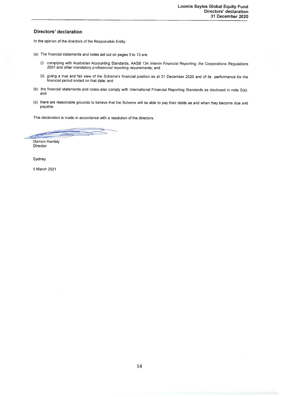#### **Directors' declaration**

In the opinion of the directors of the Responsible Entity:

- (a) The financial statements and notes set out on pages 5 to 13 are:
	- (i) complying with Australian Accounting Standards, AASB 134 Interim Financial Reporting, the Corporations Regulations 2001 and other mandatory professional reporting requirements; and
	- (ii) giving a true and fair view of the Scheme's financial position as at 31 December 2020 and of its performance for the financial period ended on that date; and
- (b) the financial statements and notes also comply with International Financial Reporting Standards as disclosed in note 2(a); and
- (c) there are reasonable grounds to believe that the Scheme will be able to pay their debts as and when they become due and payable.

This declaration is made in accordance with a resolution of the directors.

Damon Hambly Director

Sydney

5 March 2021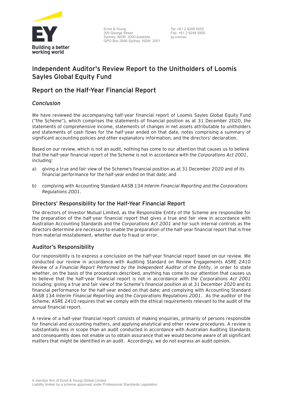

Ernst & Young 200 George Street Sydney NSW 2000 Australia GPO Box 2646 Sydney NSW 2001

Tel: +61 2 9248 5555 Fax: +61 2 9248 5959 ey.com/au

# **Independent Auditor's Review Report to the Unitholders of Loomis Sayles Global Equity Fund**

# **Report on the Half-Year Financial Report**

# *Conclusion*

We have reviewed the accompanying half-year financial report of Loomis Sayles Global Equity Fund ("the Scheme"), which comprises the statements of financial position as at 31 December 2020, the statements of comprehensive income, statements of changes in net assets attributable to unitholders and statements of cash flows for the half-year ended on that date, notes comprising a summary of significant accounting policies and other explanatory information, and the directors' declaration.

Based on our review, which is not an audit, nothing has come to our attention that causes us to believe that the half-year financial report of the Scheme is not in accordance with the *Corporations Act 2001*, including:

- a) giving a true and fair view of the Scheme's financial position as at 31 December 2020 and of its financial performance for the half-year ended on that date; and
- b) complying with Accounting Standard AASB 134 *Interim Financial Reporting* and the *Corporations Regulations 2001.*

# **Directors' Responsibility for the Half-Year Financial Report**

The directors of Investor Mutual Limited, as the Responsible Entity of the Scheme are responsible for the preparation of the half-year financial report that gives a true and fair view in accordance with Australian Accounting Standards and the *Corporations Act 2001* and for such internal controls as the directors determine are necessary to enable the preparation of the half-year financial report that is free from material misstatement, whether due to fraud or error.

# **Auditor's Responsibility**

Our responsibility is to express a conclusion on the half-year financial report based on our review. We conducted our review in accordance with Auditing Standard on Review Engagements ASRE 2410 *Review of a Financial Report Performed by the Independent Auditor of the Entity*, in order to state whether, on the basis of the procedures described, anything has come to our attention that causes us to believe that the half-year financial report is not in accordance with the *Corporations Act 2001* including: giving a true and fair view of the Scheme's financial position as at 31 December 2020 and its financial performance for the half-year ended on that date; and complying with Accounting Standard AASB 134 *Interim Financial Reporting* and the *Corporations Regulations 2001*. As the auditor of the Scheme, ASRE 2410 requires that we comply with the ethical requirements relevant to the audit of the annual financial report.

A review of a half-year financial report consists of making enquiries, primarily of persons responsible for financial and accounting matters, and applying analytical and other review procedures. A review is substantially less in scope than an audit conducted in accordance with Australian Auditing Standards and consequently does not enable us to obtain assurance that we would become aware of all significant matters that might be identified in an audit. Accordingly, we do not express an audit opinion.